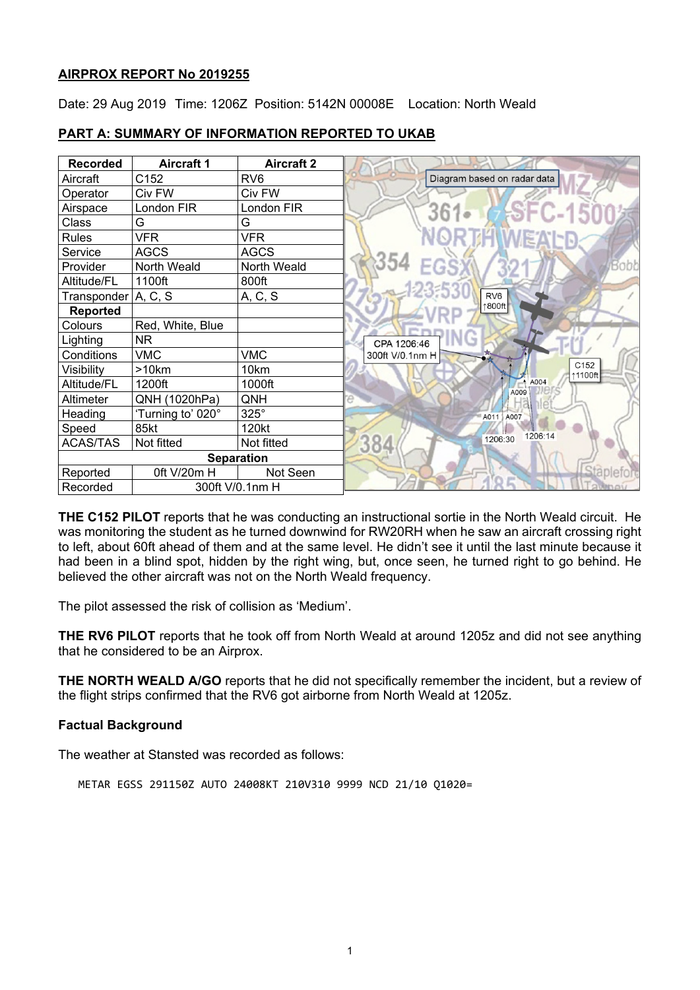## **AIRPROX REPORT No 2019255**

Date: 29 Aug 2019 Time: 1206Z Position: 5142N 00008E Location: North Weald

| <b>Recorded</b>       | <b>Aircraft 1</b> | <b>Aircraft 2</b> |                             |
|-----------------------|-------------------|-------------------|-----------------------------|
| Aircraft              | C152              | RV <sub>6</sub>   | Diagram based on radar data |
| Operator              | Civ FW            | Civ FW            |                             |
| Airspace              | London FIR        | London FIR        | <b>SFC-1500</b><br>$361-$   |
| Class                 | G                 | G                 |                             |
| <b>Rules</b>          | <b>VFR</b>        | <b>VFR</b>        | <b>ORTHWEALD</b>            |
| Service               | <b>AGCS</b>       | <b>AGCS</b>       |                             |
| Provider              | North Weald       | North Weald       | 354<br><b>Bobb</b>          |
| Altitude/FL           | 1100ft            | 800ft             |                             |
| Transponder   A, C, S |                   | A, C, S           | RV <sub>6</sub>             |
| <b>Reported</b>       |                   |                   | 1800ft                      |
| Colours               | Red, White, Blue  |                   |                             |
| Lighting              | <b>NR</b>         |                   | CPA 1206:46                 |
| Conditions            | <b>VMC</b>        | <b>VMC</b>        | 300ft V/0.1nm H             |
| Visibility            | >10km             | 10km              | C <sub>152</sub><br>↑1100ft |
| Altitude/FL           | 1200ft            | 1000ft            | $^*$ A004<br>A009           |
| Altimeter             | QNH (1020hPa)     | QNH               |                             |
| Heading               | 'Turning to' 020° | $325^\circ$       | A011 A007                   |
| Speed                 | 85kt              | 120kt             | 1206:14                     |
| <b>ACAS/TAS</b>       | Not fitted        | Not fitted        | 1206:30<br>384              |
| <b>Separation</b>     |                   |                   |                             |
| Reported              | 0ft V/20m H       | Not Seen          |                             |
| Recorded              | 300ft V/0.1nm H   |                   |                             |

# **PART A: SUMMARY OF INFORMATION REPORTED TO UKAB**

**THE C152 PILOT** reports that he was conducting an instructional sortie in the North Weald circuit. He was monitoring the student as he turned downwind for RW20RH when he saw an aircraft crossing right to left, about 60ft ahead of them and at the same level. He didn't see it until the last minute because it had been in a blind spot, hidden by the right wing, but, once seen, he turned right to go behind. He believed the other aircraft was not on the North Weald frequency.

The pilot assessed the risk of collision as 'Medium'.

**THE RV6 PILOT** reports that he took off from North Weald at around 1205z and did not see anything that he considered to be an Airprox.

**THE NORTH WEALD A/GO** reports that he did not specifically remember the incident, but a review of the flight strips confirmed that the RV6 got airborne from North Weald at 1205z.

## **Factual Background**

The weather at Stansted was recorded as follows:

METAR EGSS 291150Z AUTO 24008KT 210V310 9999 NCD 21/10 Q1020=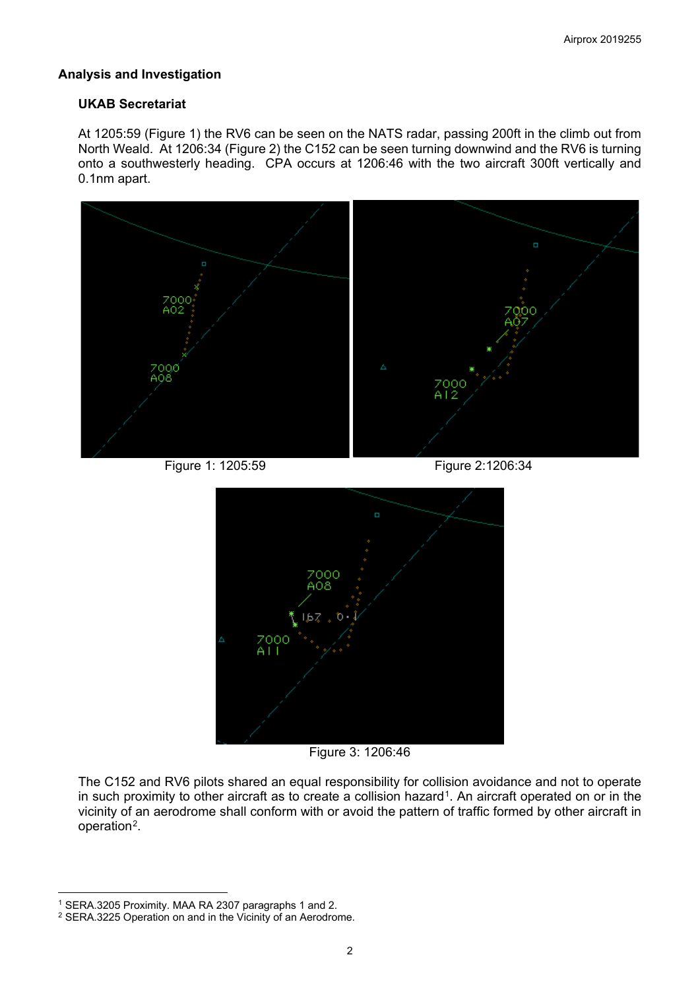## **Analysis and Investigation**

## **UKAB Secretariat**

At 1205:59 (Figure 1) the RV6 can be seen on the NATS radar, passing 200ft in the climb out from North Weald. At 1206:34 (Figure 2) the C152 can be seen turning downwind and the RV6 is turning onto a southwesterly heading. CPA occurs at 1206:46 with the two aircraft 300ft vertically and 0.1nm apart.



Figure 1: 1205:59 Figure 2:1206:34



Figure 3: 1206:46

The C152 and RV6 pilots shared an equal responsibility for collision avoidance and not to operate in such proximity to other aircraft as to create a collision hazard<sup>[1](#page-1-0)</sup>. An aircraft operated on or in the vicinity of an aerodrome shall conform with or avoid the pattern of traffic formed by other aircraft in operation[2.](#page-1-1)

 $\overline{\phantom{a}}$ 

<span id="page-1-0"></span><sup>1</sup> SERA.3205 Proximity. MAA RA 2307 paragraphs 1 and 2.

<span id="page-1-1"></span><sup>2</sup> SERA.3225 Operation on and in the Vicinity of an Aerodrome.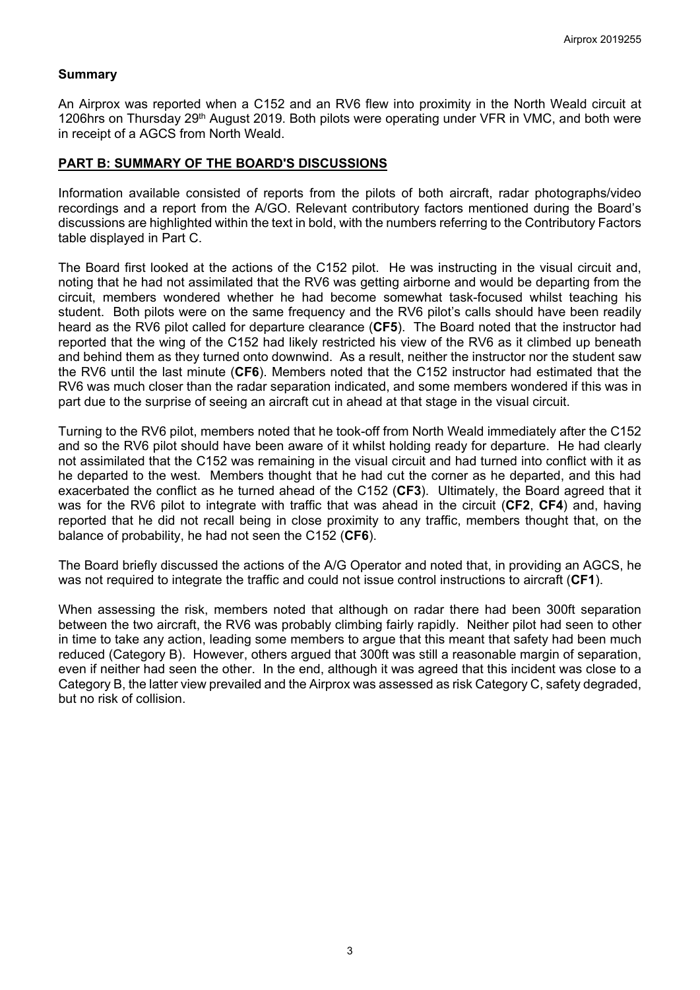## **Summary**

An Airprox was reported when a C152 and an RV6 flew into proximity in the North Weald circuit at 1206hrs on Thursday 29<sup>th</sup> August 2019. Both pilots were operating under VFR in VMC, and both were in receipt of a AGCS from North Weald.

### **PART B: SUMMARY OF THE BOARD'S DISCUSSIONS**

Information available consisted of reports from the pilots of both aircraft, radar photographs/video recordings and a report from the A/GO. Relevant contributory factors mentioned during the Board's discussions are highlighted within the text in bold, with the numbers referring to the Contributory Factors table displayed in Part C.

The Board first looked at the actions of the C152 pilot. He was instructing in the visual circuit and, noting that he had not assimilated that the RV6 was getting airborne and would be departing from the circuit, members wondered whether he had become somewhat task-focused whilst teaching his student. Both pilots were on the same frequency and the RV6 pilot's calls should have been readily heard as the RV6 pilot called for departure clearance (**CF5**). The Board noted that the instructor had reported that the wing of the C152 had likely restricted his view of the RV6 as it climbed up beneath and behind them as they turned onto downwind. As a result, neither the instructor nor the student saw the RV6 until the last minute (**CF6**). Members noted that the C152 instructor had estimated that the RV6 was much closer than the radar separation indicated, and some members wondered if this was in part due to the surprise of seeing an aircraft cut in ahead at that stage in the visual circuit.

Turning to the RV6 pilot, members noted that he took-off from North Weald immediately after the C152 and so the RV6 pilot should have been aware of it whilst holding ready for departure. He had clearly not assimilated that the C152 was remaining in the visual circuit and had turned into conflict with it as he departed to the west. Members thought that he had cut the corner as he departed, and this had exacerbated the conflict as he turned ahead of the C152 (**CF3**). Ultimately, the Board agreed that it was for the RV6 pilot to integrate with traffic that was ahead in the circuit (**CF2**, **CF4**) and, having reported that he did not recall being in close proximity to any traffic, members thought that, on the balance of probability, he had not seen the C152 (**CF6**).

The Board briefly discussed the actions of the A/G Operator and noted that, in providing an AGCS, he was not required to integrate the traffic and could not issue control instructions to aircraft (**CF1**).

When assessing the risk, members noted that although on radar there had been 300ft separation between the two aircraft, the RV6 was probably climbing fairly rapidly. Neither pilot had seen to other in time to take any action, leading some members to argue that this meant that safety had been much reduced (Category B). However, others argued that 300ft was still a reasonable margin of separation, even if neither had seen the other. In the end, although it was agreed that this incident was close to a Category B, the latter view prevailed and the Airprox was assessed as risk Category C, safety degraded, but no risk of collision.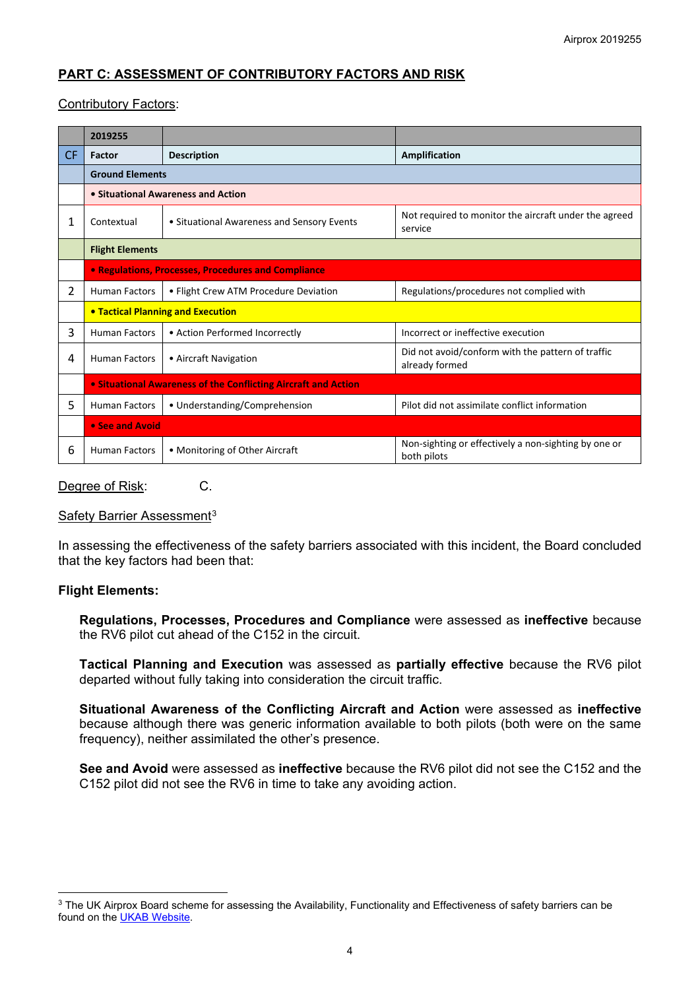## **PART C: ASSESSMENT OF CONTRIBUTORY FACTORS AND RISK**

## Contributory Factors:

|                | 2019255                                                        |                                            |                                                                     |  |  |
|----------------|----------------------------------------------------------------|--------------------------------------------|---------------------------------------------------------------------|--|--|
| <b>CF</b>      | Factor                                                         | <b>Description</b>                         | Amplification                                                       |  |  |
|                | <b>Ground Elements</b>                                         |                                            |                                                                     |  |  |
|                | • Situational Awareness and Action                             |                                            |                                                                     |  |  |
| 1              | Contextual                                                     | • Situational Awareness and Sensory Events | Not required to monitor the aircraft under the agreed<br>service    |  |  |
|                | <b>Flight Elements</b>                                         |                                            |                                                                     |  |  |
|                | <b>• Regulations, Processes, Procedures and Compliance</b>     |                                            |                                                                     |  |  |
| $\overline{2}$ | <b>Human Factors</b>                                           | • Flight Crew ATM Procedure Deviation      | Regulations/procedures not complied with                            |  |  |
|                | <b>• Tactical Planning and Execution</b>                       |                                            |                                                                     |  |  |
| 3              | <b>Human Factors</b>                                           | • Action Performed Incorrectly             | Incorrect or ineffective execution                                  |  |  |
| 4              | <b>Human Factors</b>                                           | • Aircraft Navigation                      | Did not avoid/conform with the pattern of traffic<br>already formed |  |  |
|                | • Situational Awareness of the Conflicting Aircraft and Action |                                            |                                                                     |  |  |
| 5              | <b>Human Factors</b>                                           | • Understanding/Comprehension              | Pilot did not assimilate conflict information                       |  |  |
|                | • See and Avoid                                                |                                            |                                                                     |  |  |
| 6              | <b>Human Factors</b>                                           | • Monitoring of Other Aircraft             | Non-sighting or effectively a non-sighting by one or<br>both pilots |  |  |

### Degree of Risk: C.

### Safety Barrier Assessment<sup>[3](#page-3-0)</sup>

In assessing the effectiveness of the safety barriers associated with this incident, the Board concluded that the key factors had been that:

### **Flight Elements:**

 $\overline{\phantom{a}}$ 

**Regulations, Processes, Procedures and Compliance** were assessed as **ineffective** because the RV6 pilot cut ahead of the C152 in the circuit.

**Tactical Planning and Execution** was assessed as **partially effective** because the RV6 pilot departed without fully taking into consideration the circuit traffic.

**Situational Awareness of the Conflicting Aircraft and Action** were assessed as **ineffective** because although there was generic information available to both pilots (both were on the same frequency), neither assimilated the other's presence.

**See and Avoid** were assessed as **ineffective** because the RV6 pilot did not see the C152 and the C152 pilot did not see the RV6 in time to take any avoiding action.

<span id="page-3-0"></span><sup>&</sup>lt;sup>3</sup> The UK Airprox Board scheme for assessing the Availability, Functionality and Effectiveness of safety barriers can be found on the [UKAB Website.](http://www.airproxboard.org.uk/Learn-more/Airprox-Barrier-Assessment/)